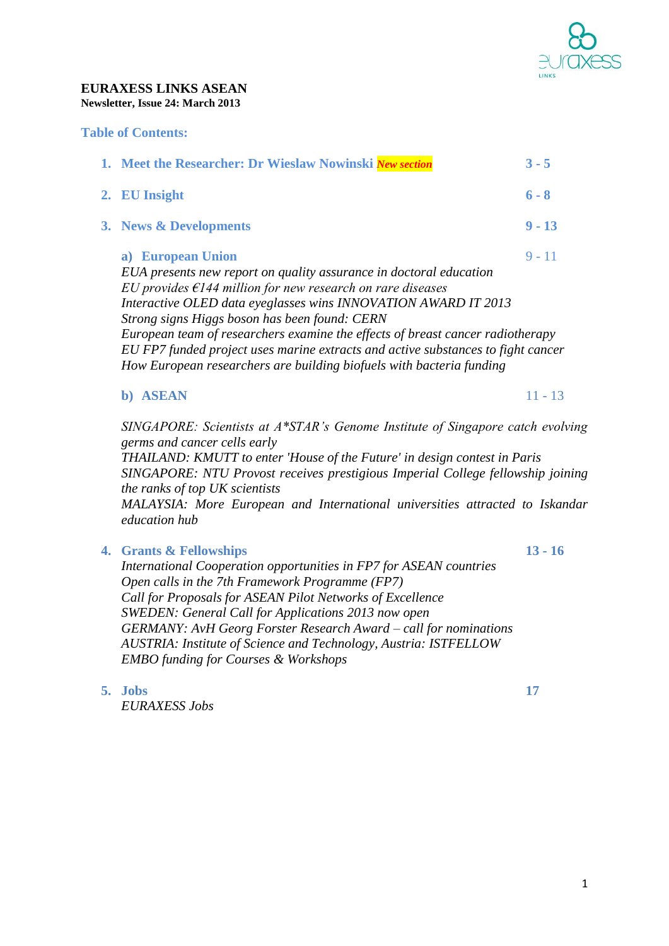

#### **EURAXESS LINKS ASEAN Newsletter, Issue 24: March 2013**

#### **Table of Contents:**

| 1. Meet the Researcher: Dr Wieslaw Nowinski New section                                                                                                                                                                                                                            | $3 - 5$  |  |
|------------------------------------------------------------------------------------------------------------------------------------------------------------------------------------------------------------------------------------------------------------------------------------|----------|--|
| 2. EU Insight                                                                                                                                                                                                                                                                      | $6 - 8$  |  |
| 3. News & Developments                                                                                                                                                                                                                                                             | $9 - 13$ |  |
| a) European Union<br>EUA presents new report on quality assurance in doctoral education<br>EU provides $\epsilon$ 144 million for new research on rare diseases<br>Interactive OLED data eyeglasses wins INNOVATION AWARD IT 2013<br>Strong signs Higgs boson has been found: CERN | $9 - 11$ |  |
| European team of researchers examine the effects of breast cancer radiotherapy<br>EU FP7 funded project uses marine extracts and active substances to fight cancer<br>How European researchers are building biofuels with bacteria funding                                         |          |  |

#### **b) ASEAN** 11 - 13

*SINGAPORE: Scientists at A\*STAR's Genome Institute of Singapore catch evolving germs and cancer cells early*

*THAILAND: KMUTT to enter 'House of the Future' in design contest in Paris SINGAPORE: NTU Provost receives prestigious Imperial College fellowship joining the ranks of top UK scientists*

*MALAYSIA: More European and International universities attracted to Iskandar education hub*

### **4. Grants & Fellowships 13 - 16**

*International Cooperation opportunities in FP7 for ASEAN countries Open calls in the 7th Framework Programme (FP7) Call for Proposals for ASEAN Pilot Networks of Excellence SWEDEN: General Call for Applications 2013 now open GERMANY: AvH Georg Forster Research Award – call for nominations AUSTRIA: Institute of Science and Technology, Austria: ISTFELLOW EMBO funding for Courses & Workshops*

**5. Jobs 17**

*EURAXESS Jobs*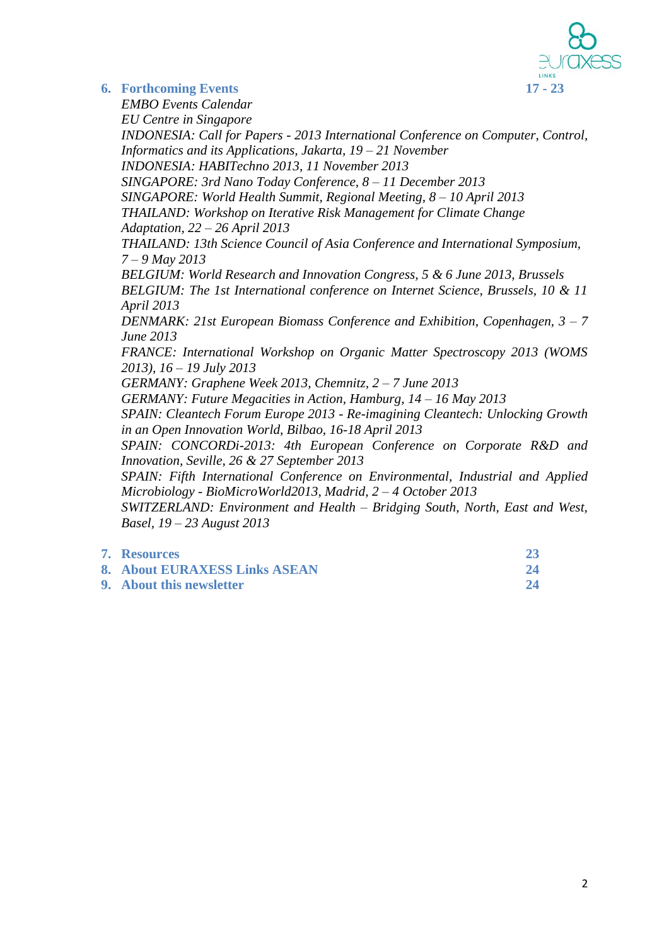

### **6. Forthcoming Events 17 - 23**

*EMBO Events Calendar EU Centre in Singapore INDONESIA: Call for Papers - 2013 International Conference on Computer, Control, Informatics and its Applications, Jakarta, 19 – 21 November INDONESIA: HABITechno 2013, 11 November 2013 SINGAPORE: 3rd Nano Today Conference, 8 – 11 December 2013 SINGAPORE: World Health Summit, Regional Meeting, 8 – 10 April 2013 THAILAND: Workshop on Iterative Risk Management for Climate Change Adaptation, 22 – 26 April 2013 THAILAND: 13th Science Council of Asia Conference and International Symposium, 7 – 9 May 2013 BELGIUM: World Research and Innovation Congress, 5 & 6 June 2013, Brussels BELGIUM: The 1st International conference on Internet Science, Brussels, 10 & 11 April 2013 DENMARK: 21st European Biomass Conference and Exhibition, Copenhagen, 3 – 7 June 2013 FRANCE: International Workshop on Organic Matter Spectroscopy 2013 (WOMS 2013), 16 – 19 July 2013 GERMANY: Graphene Week 2013, Chemnitz, 2 – 7 June 2013 GERMANY: Future Megacities in Action, Hamburg, 14 – 16 May 2013 SPAIN: Cleantech Forum Europe 2013 - Re-imagining Cleantech: Unlocking Growth in an Open Innovation World, Bilbao, 16-18 April 2013 SPAIN: CONCORDi-2013: 4th European Conference on Corporate R&D and Innovation, Seville, 26 & 27 September 2013 SPAIN: Fifth International Conference on Environmental, Industrial and Applied Microbiology - BioMicroWorld2013, Madrid, 2 – 4 October 2013 SWITZERLAND: Environment and Health – Bridging South, North, East and West, Basel, 19 – 23 August 2013*

| 7. Resources                  |  |
|-------------------------------|--|
| 8. About EURAXESS Links ASEAN |  |
| 9. About this newsletter      |  |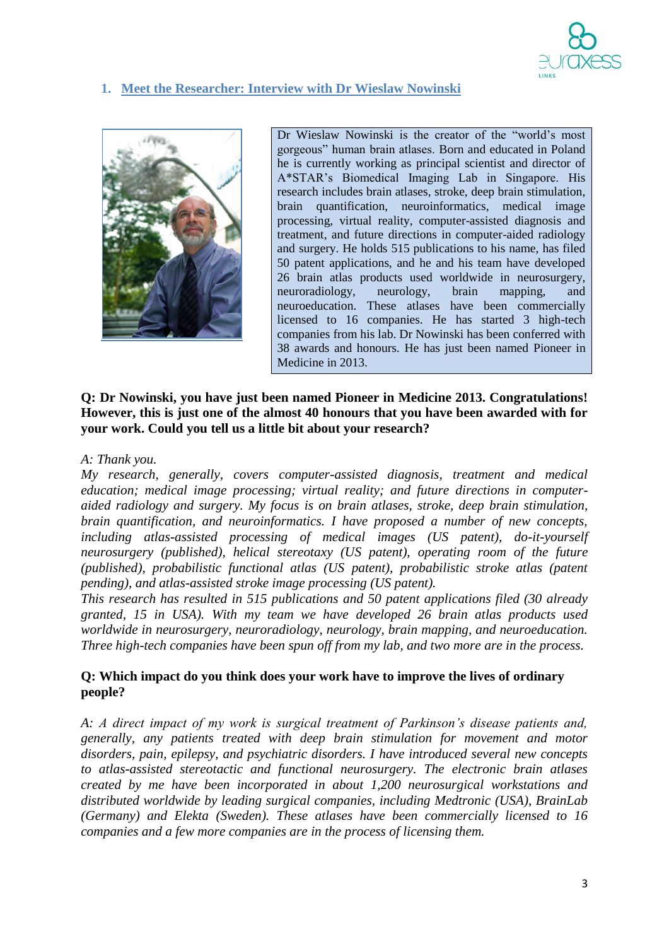

# **1. Meet the Researcher: Interview with Dr Wieslaw Nowinski**



Dr Wieslaw Nowinski is the creator of the "world's most gorgeous" human brain atlases. Born and educated in Poland he is currently working as principal scientist and director of A\*STAR's Biomedical Imaging Lab in Singapore. His research includes brain atlases, stroke, deep brain stimulation, brain quantification, neuroinformatics, medical image processing, virtual reality, computer-assisted diagnosis and treatment, and future directions in computer-aided radiology and surgery. He holds 515 publications to his name, has filed 50 patent applications, and he and his team have developed 26 brain atlas products used worldwide in neurosurgery, neuroradiology, neurology, brain mapping, and neuroeducation. These atlases have been commercially licensed to 16 companies. He has started 3 high-tech companies from his lab. Dr Nowinski has been conferred with 38 awards and honours. He has just been named Pioneer in Medicine in 2013.

### **Q: Dr Nowinski, you have just been named Pioneer in Medicine 2013. Congratulations! However, this is just one of the almost 40 honours that you have been awarded with for your work. Could you tell us a little bit about your research?**

#### *A: Thank you.*

*My research, generally, covers computer-assisted diagnosis, treatment and medical education; medical image processing; virtual reality; and future directions in computeraided radiology and surgery. My focus is on brain atlases, stroke, deep brain stimulation, brain quantification, and neuroinformatics. I have proposed a number of new concepts, including atlas-assisted processing of medical images (US patent), do-it-yourself neurosurgery (published), helical stereotaxy (US patent), operating room of the future (published), probabilistic functional atlas (US patent), probabilistic stroke atlas (patent pending), and atlas-assisted stroke image processing (US patent).*

*This research has resulted in 515 publications and 50 patent applications filed (30 already granted, 15 in USA). With my team we have developed 26 brain atlas products used worldwide in neurosurgery, neuroradiology, neurology, brain mapping, and neuroeducation. Three high-tech companies have been spun off from my lab, and two more are in the process.*

### **Q: Which impact do you think does your work have to improve the lives of ordinary people?**

*A: A direct impact of my work is surgical treatment of Parkinson's disease patients and, generally, any patients treated with deep brain stimulation for movement and motor disorders, pain, epilepsy, and psychiatric disorders. I have introduced several new concepts to atlas-assisted stereotactic and functional neurosurgery. The electronic brain atlases created by me have been incorporated in about 1,200 neurosurgical workstations and distributed worldwide by leading surgical companies, including Medtronic (USA), BrainLab (Germany) and Elekta (Sweden). These atlases have been commercially licensed to 16 companies and a few more companies are in the process of licensing them.*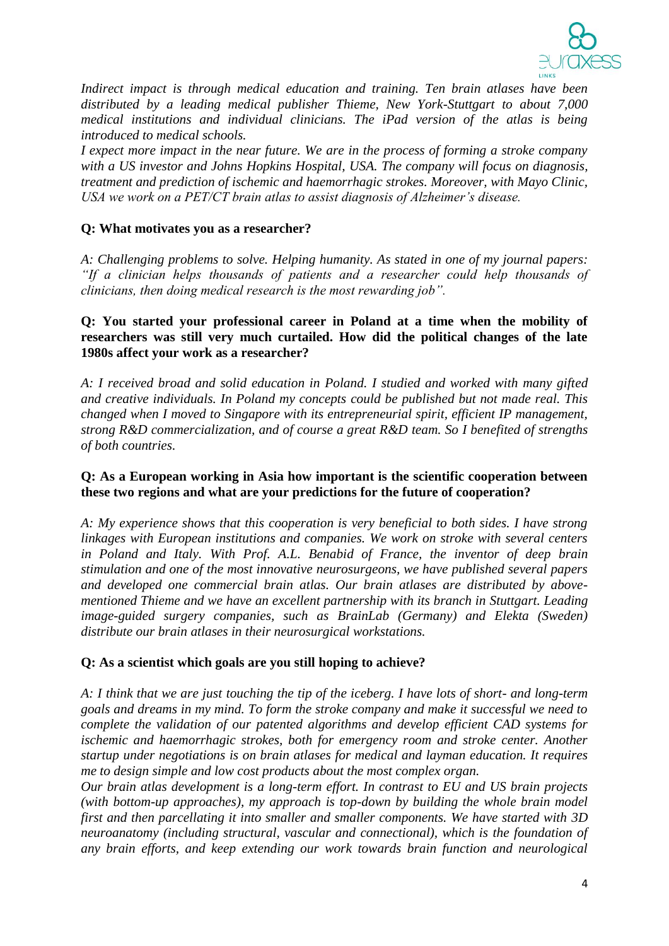

*Indirect impact is through medical education and training. Ten brain atlases have been distributed by a leading medical publisher Thieme, New York-Stuttgart to about 7,000 medical institutions and individual clinicians. The iPad version of the atlas is being introduced to medical schools.*

*I expect more impact in the near future. We are in the process of forming a stroke company with a US investor and Johns Hopkins Hospital, USA. The company will focus on diagnosis, treatment and prediction of ischemic and haemorrhagic strokes. Moreover, with Mayo Clinic, USA we work on a PET/CT brain atlas to assist diagnosis of Alzheimer's disease.*

### **Q: What motivates you as a researcher?**

*A: Challenging problems to solve. Helping humanity. As stated in one of my journal papers: "If a clinician helps thousands of patients and a researcher could help thousands of clinicians, then doing medical research is the most rewarding job".*

### **Q: You started your professional career in Poland at a time when the mobility of researchers was still very much curtailed. How did the political changes of the late 1980s affect your work as a researcher?**

*A: I received broad and solid education in Poland. I studied and worked with many gifted and creative individuals. In Poland my concepts could be published but not made real. This changed when I moved to Singapore with its entrepreneurial spirit, efficient IP management, strong R&D commercialization, and of course a great R&D team. So I benefited of strengths of both countries.*

### **Q: As a European working in Asia how important is the scientific cooperation between these two regions and what are your predictions for the future of cooperation?**

*A: My experience shows that this cooperation is very beneficial to both sides. I have strong linkages with European institutions and companies. We work on stroke with several centers in Poland and Italy. With Prof. A.L. Benabid of France, the inventor of deep brain stimulation and one of the most innovative neurosurgeons, we have published several papers and developed one commercial brain atlas. Our brain atlases are distributed by abovementioned Thieme and we have an excellent partnership with its branch in Stuttgart. Leading image-guided surgery companies, such as BrainLab (Germany) and Elekta (Sweden) distribute our brain atlases in their neurosurgical workstations.*

#### **Q: As a scientist which goals are you still hoping to achieve?**

*A: I think that we are just touching the tip of the iceberg. I have lots of short- and long-term goals and dreams in my mind. To form the stroke company and make it successful we need to complete the validation of our patented algorithms and develop efficient CAD systems for ischemic and haemorrhagic strokes, both for emergency room and stroke center. Another startup under negotiations is on brain atlases for medical and layman education. It requires me to design simple and low cost products about the most complex organ.* 

*Our brain atlas development is a long-term effort. In contrast to EU and US brain projects (with bottom-up approaches), my approach is top-down by building the whole brain model first and then parcellating it into smaller and smaller components. We have started with 3D neuroanatomy (including structural, vascular and connectional), which is the foundation of any brain efforts, and keep extending our work towards brain function and neurological*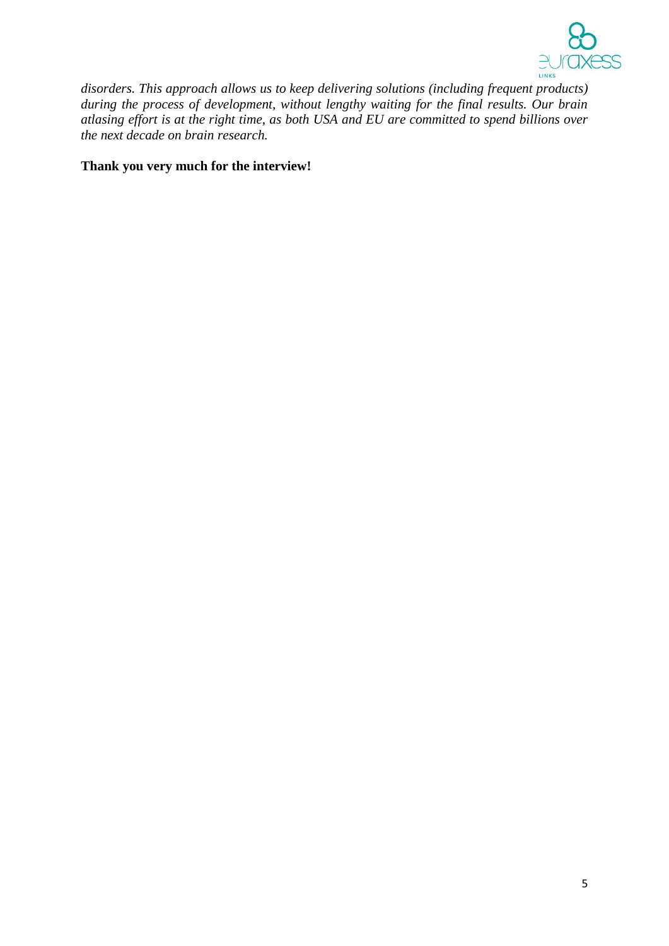

*disorders. This approach allows us to keep delivering solutions (including frequent products) during the process of development, without lengthy waiting for the final results. Our brain atlasing effort is at the right time, as both USA and EU are committed to spend billions over the next decade on brain research.*

### **Thank you very much for the interview!**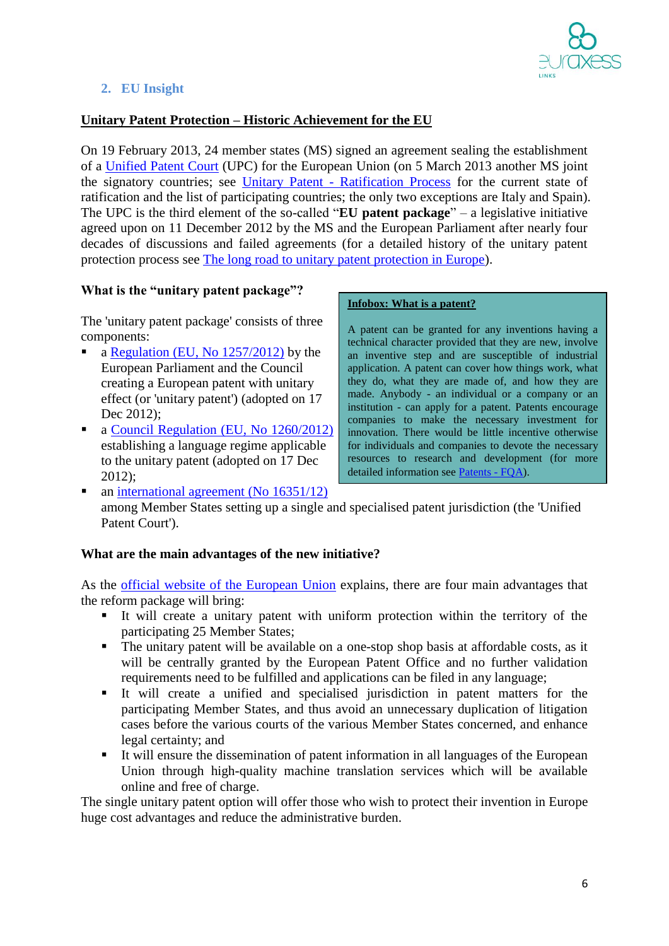

# **2. EU Insight**

# **Unitary Patent Protection – Historic Achievement for the EU**

On 19 February 2013, 24 member states (MS) signed an agreement sealing the establishment of a [Unified Patent Court](http://www.epo.org/law-practice/unitary/patent-court.html) (UPC) for the European Union (on 5 March 2013 another MS joint the signatory countries; see Unitary Patent - [Ratification Process](http://ec.europa.eu/internal_market/indprop/patent/ratification/index_en.htm) for the current state of ratification and the list of participating countries; the only two exceptions are Italy and Spain). The UPC is the third element of the so-called "**EU patent package**" – a legislative initiative agreed upon on 11 December 2012 by the MS and the European Parliament after nearly four decades of discussions and failed agreements (for a detailed history of the unitary patent protection process see [The long road to unitary patent protection in Europe\)](http://www.consilium.europa.eu/uedocs/cms_data/docs/pressdata/en/intm/134393.pdf).

### **What is the "unitary patent package"?**

The 'unitary patent package' consists of three components:

- a [Regulation \(EU, No 1257/2012\)](http://eur-lex.europa.eu/LexUriServ/LexUriServ.do?uri=OJ:L:2012:361:0001:0008:EN:PDF) by the European Parliament and the Council creating a European patent with unitary effect (or 'unitary patent') (adopted on 17 Dec 2012):
- a [Council Regulation \(EU, No 1260/2012\)](http://eur-lex.europa.eu/LexUriServ/LexUriServ.do?uri=OJ:L:2012:361:0089:0092:EN:PDF) establishing a language regime applicable to the unitary patent (adopted on 17 Dec 2012);

#### **Infobox: What is a patent?**

A patent can be granted for any inventions having a technical character provided that they are new, involve an inventive step and are susceptible of industrial application. A patent can cover how things work, what they do, what they are made of, and how they are made. Anybody - an individual or a company or an institution - can apply for a patent. Patents encourage companies to make the necessary investment for innovation. There would be little incentive otherwise for individuals and companies to devote the necessary resources to research and development (for more detailed information see [Patents -](http://ec.europa.eu/internal_market/indprop/patent/faqs/index_en.htm#maincontentSec2) FQA).

 $\blacksquare$  an [international agreement \(No 16351/12\)](http://register.consilium.europa.eu/pdf/en/12/st16/st16351.en12.pdf) among Member States setting up a single and specialised patent jurisdiction (the 'Unified Patent Court').

#### **What are the main advantages of the new initiative?**

As the [official website of the European Union](http://europa.eu/rapid/press-release_MEMO-12-970_en.htm?locale=en) explains, there are four main advantages that the reform package will bring:

- It will create a unitary patent with uniform protection within the territory of the participating 25 Member States;
- The unitary patent will be available on a one-stop shop basis at affordable costs, as it will be centrally granted by the European Patent Office and no further validation requirements need to be fulfilled and applications can be filed in any language;
- It will create a unified and specialised jurisdiction in patent matters for the participating Member States, and thus avoid an unnecessary duplication of litigation cases before the various courts of the various Member States concerned, and enhance legal certainty; and
- It will ensure the dissemination of patent information in all languages of the European Union through high-quality machine translation services which will be available online and free of charge.

The single unitary patent option will offer those who wish to protect their invention in Europe huge cost advantages and reduce the administrative burden.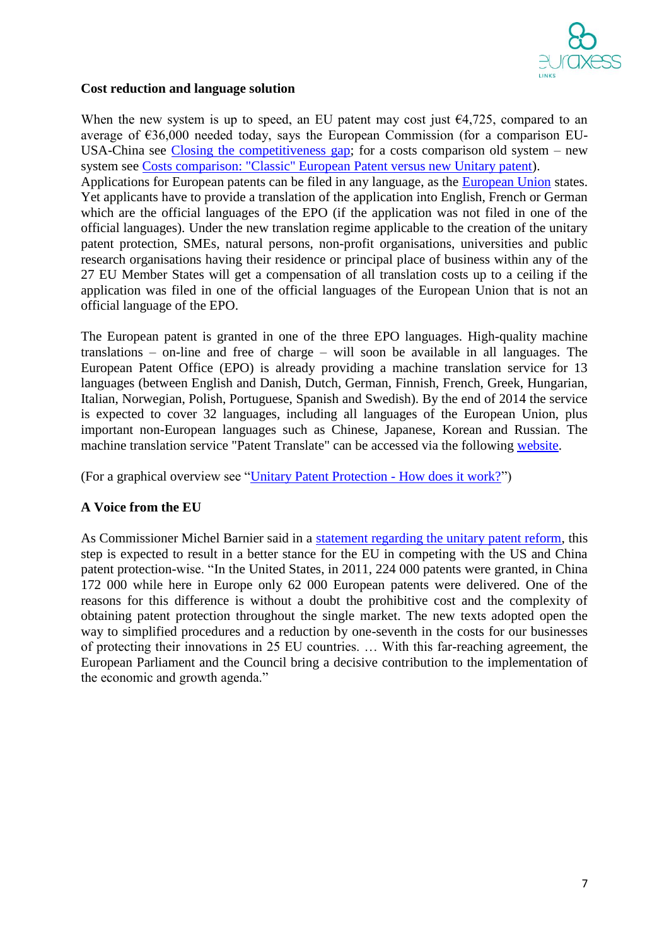

### **Cost reduction and language solution**

When the new system is up to speed, an EU patent may cost just  $\epsilon$ 4,725, compared to an average of €36,000 needed today, says the European Commission (for a comparison EU-USA-China see [Closing the competitiveness gap;](http://ec.europa.eu/internal_market/indprop/docs/patent/faqs/competitiveness_en.pdf) for a costs comparison old system – new system see [Costs comparison: "Classic" European Patent versus new Unitary patent\)](http://ec.europa.eu/internal_market/indprop/docs/patent/faqs/cost-comparison_en.pdf). Applications for European patents can be filed in any language, as the [European Union](http://europa.eu/rapid/press-release_MEMO-12-970_en.htm?locale=en) states. Yet applicants have to provide a translation of the application into English, French or German which are the official languages of the EPO (if the application was not filed in one of the official languages). Under the new translation regime applicable to the creation of the unitary patent protection, SMEs, natural persons, non-profit organisations, universities and public research organisations having their residence or principal place of business within any of the 27 EU Member States will get a compensation of all translation costs up to a ceiling if the application was filed in one of the official languages of the European Union that is not an official language of the EPO.

The European patent is granted in one of the three EPO languages. High-quality machine translations – on-line and free of charge – will soon be available in all languages. The European Patent Office (EPO) is already providing a machine translation service for 13 languages (between English and Danish, Dutch, German, Finnish, French, Greek, Hungarian, Italian, Norwegian, Polish, Portuguese, Spanish and Swedish). By the end of 2014 the service is expected to cover 32 languages, including all languages of the European Union, plus important non-European languages such as Chinese, Japanese, Korean and Russian. The machine translation service "Patent Translate" can be accessed via the following [website.](http://www.epo.org/searching/free/patent-translate.html)

(For a graphical overview see ["Unitary Patent Protection -](http://ec.europa.eu/internal_market/indprop/docs/patent/faqs/how-does-it-work_en.pdf) How does it work?")

# **A Voice from the EU**

As Commissioner Michel Barnier said in a [statement regarding the unitary patent reform,](http://ec.europa.eu/enterprise/newsroom/cf/itemdetail.cfm?item_id=6324) this step is expected to result in a better stance for the EU in competing with the US and China patent protection-wise. "In the United States, in 2011, 224 000 patents were granted, in China 172 000 while here in Europe only 62 000 European patents were delivered. One of the reasons for this difference is without a doubt the prohibitive cost and the complexity of obtaining patent protection throughout the single market. The new texts adopted open the way to simplified procedures and a reduction by one-seventh in the costs for our businesses of protecting their innovations in 25 EU countries. … With this far-reaching agreement, the European Parliament and the Council bring a decisive contribution to the implementation of the economic and growth agenda."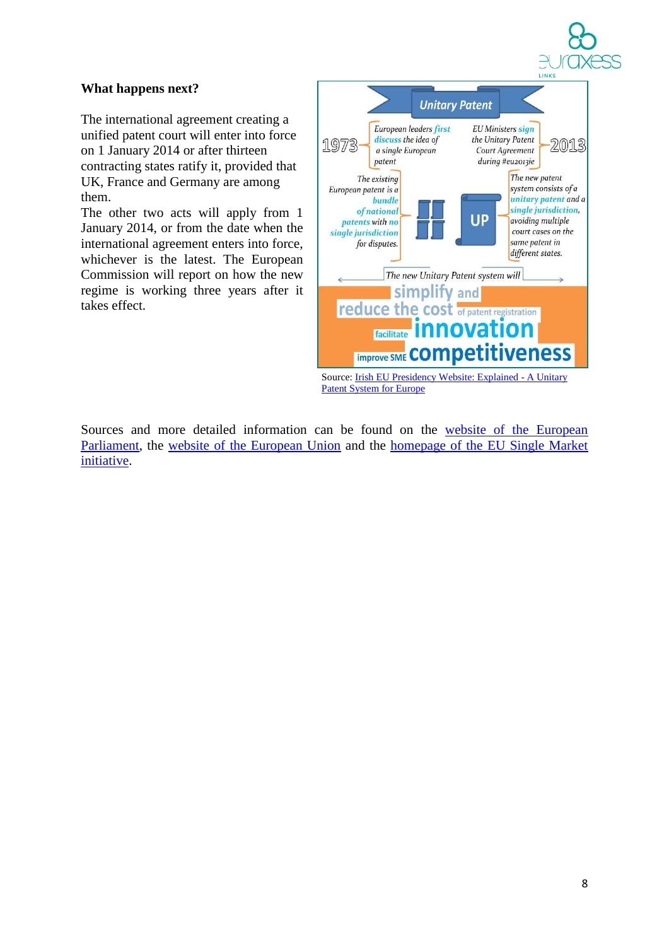

# **What happens next?**

The international agreement creating a unified patent court will enter into force on 1 January 2014 or after thirteen contracting states ratify it, provided that UK, France and Germany are among them.

The other two acts will apply from 1 January 2014, or from the date when the international agreement enters into force, whichever is the latest. The European Commission will report on how the new regime is working three years after it takes effect.



Sources and more detailed information can be found on the [website of the European](http://www.europarl.europa.eu/news/en/pressroom/content/20121205BKG57397/html/The-new-EU-unitary-patent-QA)  [Parliament,](http://www.europarl.europa.eu/news/en/pressroom/content/20121205BKG57397/html/The-new-EU-unitary-patent-QA) the [website of the European Union](http://europa.eu/rapid/press-release_MEMO-12-970_en.htm?locale=en) and the [homepage of the EU Single Market](http://ec.europa.eu/internal_market/indprop/patent/faqs/index_en.htm#maincontentSec2)  [initiative.](http://ec.europa.eu/internal_market/indprop/patent/faqs/index_en.htm#maincontentSec2)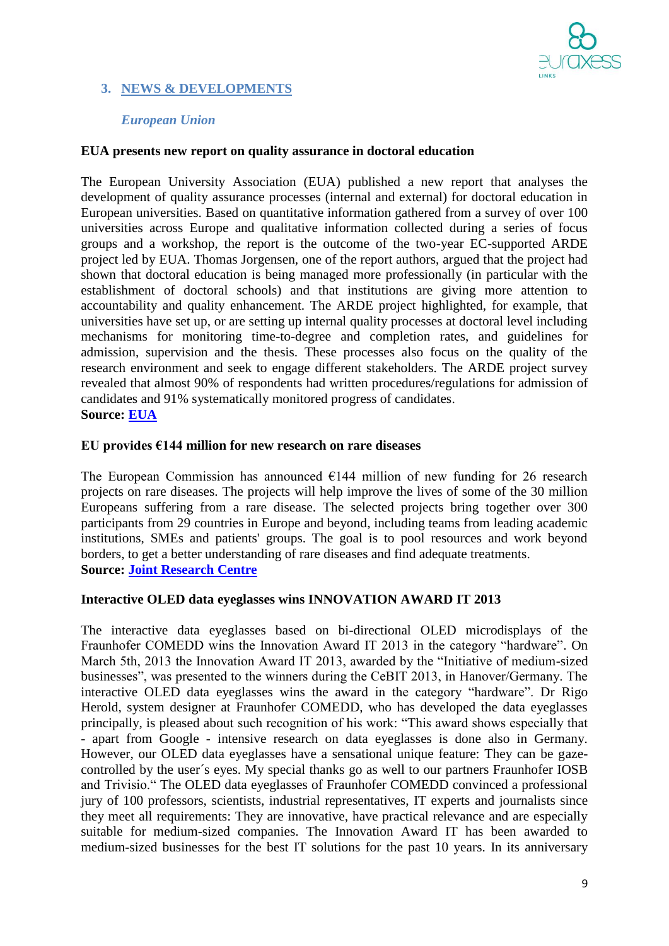

# **3. NEWS & DEVELOPMENTS**

### *European Union*

### **EUA presents new report on quality assurance in doctoral education**

The European University Association (EUA) published a new report that analyses the development of quality assurance processes (internal and external) for doctoral education in European universities. Based on quantitative information gathered from a survey of over 100 universities across Europe and qualitative information collected during a series of focus groups and a workshop, the report is the outcome of the two-year EC-supported ARDE project led by EUA. Thomas Jorgensen, one of the report authors, argued that the project had shown that doctoral education is being managed more professionally (in particular with the establishment of doctoral schools) and that institutions are giving more attention to accountability and quality enhancement. The ARDE project highlighted, for example, that universities have set up, or are setting up internal quality processes at doctoral level including mechanisms for monitoring time-to-degree and completion rates, and guidelines for admission, supervision and the thesis. These processes also focus on the quality of the research environment and seek to engage different stakeholders. The ARDE project survey revealed that almost 90% of respondents had written procedures/regulations for admission of candidates and 91% systematically monitored progress of candidates. **Source: [EUA](http://www.eua.be/News/13-03-07/EUA_presents_new_report_on_quality_assurance_in_doctoral_education.aspx)**

#### **EU provides €144 million for new research on rare diseases**

The European Commission has announced  $E144$  million of new funding for 26 research projects on rare diseases. The projects will help improve the lives of some of the 30 million Europeans suffering from a rare disease. The selected projects bring together over 300 participants from 29 countries in Europe and beyond, including teams from leading academic institutions, SMEs and patients' groups. The goal is to pool resources and work beyond borders, to get a better understanding of rare diseases and find adequate treatments. **Source: [Joint Research Centre](http://ec.europa.eu/dgs/jrc/index.cfm?id=2460&obj_id=16300&dt_code=NWS&lang=en)**

#### **Interactive OLED data eyeglasses wins INNOVATION AWARD IT 2013**

The interactive data eyeglasses based on bi-directional OLED microdisplays of the Fraunhofer COMEDD wins the Innovation Award IT 2013 in the category "hardware". On March 5th, 2013 the Innovation Award IT 2013, awarded by the "Initiative of medium-sized businesses", was presented to the winners during the CeBIT 2013, in Hanover/Germany. The interactive OLED data eyeglasses wins the award in the category "hardware". Dr Rigo Herold, system designer at Fraunhofer COMEDD, who has developed the data eyeglasses principally, is pleased about such recognition of his work: "This award shows especially that - apart from Google - intensive research on data eyeglasses is done also in Germany. However, our OLED data eyeglasses have a sensational unique feature: They can be gazecontrolled by the user´s eyes. My special thanks go as well to our partners Fraunhofer IOSB and Trivisio." The OLED data eyeglasses of Fraunhofer COMEDD convinced a professional jury of 100 professors, scientists, industrial representatives, IT experts and journalists since they meet all requirements: They are innovative, have practical relevance and are especially suitable for medium-sized companies. The Innovation Award IT has been awarded to medium-sized businesses for the best IT solutions for the past 10 years. In its anniversary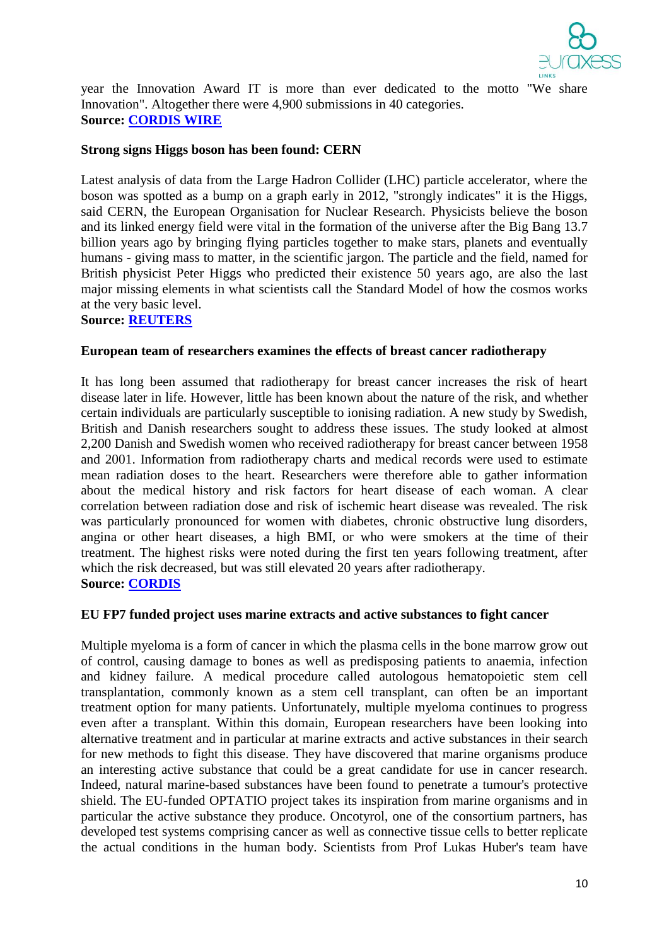

year the Innovation Award IT is more than ever dedicated to the motto "We share Innovation". Altogether there were 4,900 submissions in 40 categories. **Source: [CORDIS WIRE](http://cordis.europa.eu/wire/index.cfm?fuseaction=article.Detail&rcn=35048&rev=0)**

#### **Strong signs Higgs boson has been found: CERN**

Latest analysis of data from the Large Hadron Collider (LHC) particle accelerator, where the boson was spotted as a bump on a graph early in 2012, "strongly indicates" it is the Higgs, said CERN, the European Organisation for Nuclear Research. Physicists believe the boson and its linked energy field were vital in the formation of the universe after the Big Bang 13.7 billion years ago by bringing flying particles together to make stars, planets and eventually humans - giving mass to matter, in the scientific jargon. The particle and the field, named for British physicist Peter Higgs who predicted their existence 50 years ago, are also the last major missing elements in what scientists call the Standard Model of how the cosmos works at the very basic level.

#### **Source: [REUTERS](http://www.reuters.com/article/2013/03/14/us-science-higgs-idUSBRE9270XW20130314)**

#### **European team of researchers examines the effects of breast cancer radiotherapy**

It has long been assumed that radiotherapy for breast cancer increases the risk of heart disease later in life. However, little has been known about the nature of the risk, and whether certain individuals are particularly susceptible to ionising radiation. A new study by Swedish, British and Danish researchers sought to address these issues. The study looked at almost 2,200 Danish and Swedish women who received radiotherapy for breast cancer between 1958 and 2001. Information from radiotherapy charts and medical records were used to estimate mean radiation doses to the heart. Researchers were therefore able to gather information about the medical history and risk factors for heart disease of each woman. A clear correlation between radiation dose and risk of ischemic heart disease was revealed. The risk was particularly pronounced for women with diabetes, chronic obstructive lung disorders, angina or other heart diseases, a high BMI, or who were smokers at the time of their treatment. The highest risks were noted during the first ten years following treatment, after which the risk decreased, but was still elevated 20 years after radiotherapy. **Source: [CORDIS](http://cordis.europa.eu/fetch?CALLER=EN_NEWS&ACTION=D&SESSION=&RCN=35584)**

#### **EU FP7 funded project uses marine extracts and active substances to fight cancer**

Multiple myeloma is a form of cancer in which the plasma cells in the bone marrow grow out of control, causing damage to bones as well as predisposing patients to anaemia, infection and kidney failure. A medical procedure called autologous hematopoietic stem cell transplantation, commonly known as a stem cell transplant, can often be an important treatment option for many patients. Unfortunately, multiple myeloma continues to progress even after a transplant. Within this domain, European researchers have been looking into alternative treatment and in particular at marine extracts and active substances in their search for new methods to fight this disease. They have discovered that marine organisms produce an interesting active substance that could be a great candidate for use in cancer research. Indeed, natural marine-based substances have been found to penetrate a tumour's protective shield. The EU-funded OPTATIO project takes its inspiration from marine organisms and in particular the active substance they produce. Oncotyrol, one of the consortium partners, has developed test systems comprising cancer as well as connective tissue cells to better replicate the actual conditions in the human body. Scientists from Prof Lukas Huber's team have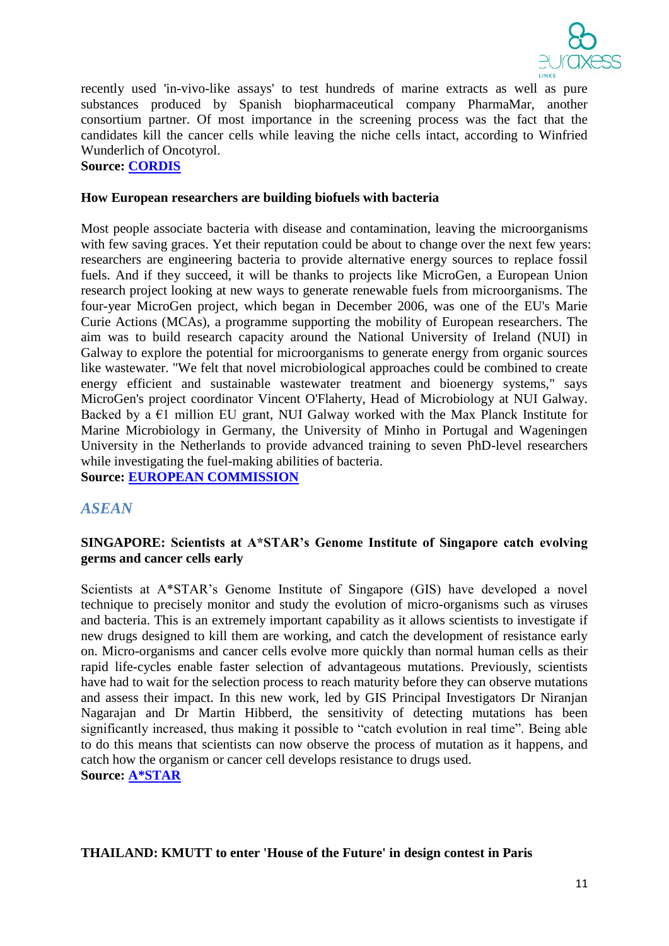

recently used 'in-vivo-like assays' to test hundreds of marine extracts as well as pure substances produced by Spanish biopharmaceutical company PharmaMar, another consortium partner. Of most importance in the screening process was the fact that the candidates kill the cancer cells while leaving the niche cells intact, according to Winfried Wunderlich of Oncotyrol.

**Source: [CORDIS](http://cordis.europa.eu/fetch?CALLER=EN_NEWS&ACTION=D&RCN=35564)**

#### **How European researchers are building biofuels with bacteria**

Most people associate bacteria with disease and contamination, leaving the microorganisms with few saving graces. Yet their reputation could be about to change over the next few years: researchers are engineering bacteria to provide alternative energy sources to replace fossil fuels. And if they succeed, it will be thanks to projects like MicroGen, a European Union research project looking at new ways to generate renewable fuels from microorganisms. The four-year MicroGen project, which began in December 2006, was one of the EU's Marie Curie Actions (MCAs), a programme supporting the mobility of European researchers. The aim was to build research capacity around the National University of Ireland (NUI) in Galway to explore the potential for microorganisms to generate energy from organic sources like wastewater. "We felt that novel microbiological approaches could be combined to create energy efficient and sustainable wastewater treatment and bioenergy systems," says MicroGen's project coordinator Vincent O'Flaherty, Head of Microbiology at NUI Galway. Backed by a  $E1$  million EU grant, NUI Galway worked with the Max Planck Institute for Marine Microbiology in Germany, the University of Minho in Portugal and Wageningen University in the Netherlands to provide advanced training to seven PhD-level researchers while investigating the fuel-making abilities of bacteria. **Source: [EUROPEAN COMMISSION](http://ec.europa.eu/research/infocentre/article_en.cfm?id=/research/star/index_en.cfm?p=ss-microgen&calledby=infocentre&item=Infocentre&artid=29355)**

# *ASEAN*

### **SINGAPORE: Scientists at A\*STAR's Genome Institute of Singapore catch evolving germs and cancer cells early**

Scientists at A\*STAR's Genome Institute of Singapore (GIS) have developed a novel technique to precisely monitor and study the evolution of micro-organisms such as viruses and bacteria. This is an extremely important capability as it allows scientists to investigate if new drugs designed to kill them are working, and catch the development of resistance early on. Micro-organisms and cancer cells evolve more quickly than normal human cells as their rapid life-cycles enable faster selection of advantageous mutations. Previously, scientists have had to wait for the selection process to reach maturity before they can observe mutations and assess their impact. In this new work, led by GIS Principal Investigators Dr Niranjan Nagarajan and Dr Martin Hibberd, the sensitivity of detecting mutations has been significantly increased, thus making it possible to "catch evolution in real time". Being able to do this means that scientists can now observe the process of mutation as it happens, and catch how the organism or cancer cell develops resistance to drugs used. **Source: [A\\*STAR](http://www.a-star.edu.sg/Media/News/PressReleases/tabid/828/articleType/ArticleView/articleId/1781/Default.aspx)**

#### **THAILAND: KMUTT to enter 'House of the Future' in design contest in Paris**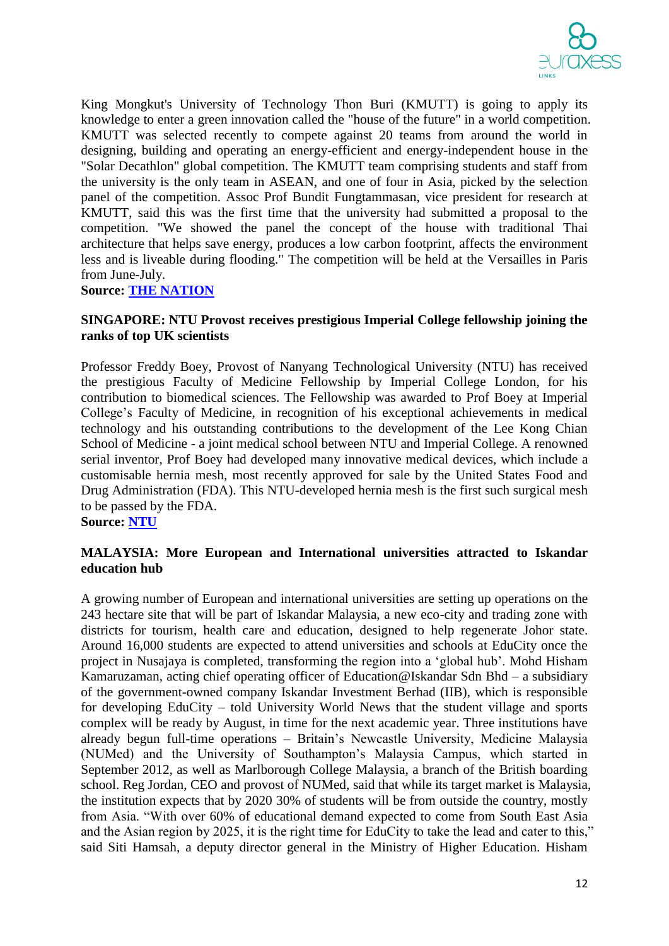

King Mongkut's University of Technology Thon Buri (KMUTT) is going to apply its knowledge to enter a green innovation called the "house of the future" in a world competition. KMUTT was selected recently to compete against 20 teams from around the world in designing, building and operating an energy-efficient and energy-independent house in the "Solar Decathlon" global competition. The KMUTT team comprising students and staff from the university is the only team in ASEAN, and one of four in Asia, picked by the selection panel of the competition. Assoc Prof Bundit Fungtammasan, vice president for research at KMUTT, said this was the first time that the university had submitted a proposal to the competition. "We showed the panel the concept of the house with traditional Thai architecture that helps save energy, produces a low carbon footprint, affects the environment less and is liveable during flooding." The competition will be held at the Versailles in Paris from June-July.

**Source: [THE NATION](http://www.nationmultimedia.com/national/KMUTT-to-enter-House-of-the-Future-in-design-conte-30201656.html)**

### **SINGAPORE: NTU Provost receives prestigious Imperial College fellowship joining the ranks of top UK scientists**

Professor Freddy Boey, Provost of Nanyang Technological University (NTU) has received the prestigious Faculty of Medicine Fellowship by Imperial College London, for his contribution to biomedical sciences. The Fellowship was awarded to Prof Boey at Imperial College's Faculty of Medicine, in recognition of his exceptional achievements in medical technology and his outstanding contributions to the development of the Lee Kong Chian School of Medicine - a joint medical school between NTU and Imperial College. A renowned serial inventor, Prof Boey had developed many innovative medical devices, which include a customisable hernia mesh, most recently approved for sale by the United States Food and Drug Administration (FDA). This NTU-developed hernia mesh is the first such surgical mesh to be passed by the FDA.

**Source: [NTU](http://media.ntu.edu.sg/NewsReleases/Pages/newsdetail.aspx?news=c3741138-c60f-4ba1-b107-2c9b8df486fc)**

### **MALAYSIA: More European and International universities attracted to Iskandar education hub**

A growing number of European and international universities are setting up operations on the 243 hectare site that will be part of Iskandar Malaysia, a new eco-city and trading zone with districts for tourism, health care and education, designed to help regenerate Johor state. Around 16,000 students are expected to attend universities and schools at EduCity once the project in Nusajaya is completed, transforming the region into a 'global hub'. Mohd Hisham Kamaruzaman, acting chief operating officer of Education@Iskandar Sdn Bhd – a subsidiary of the government-owned company Iskandar Investment Berhad (IIB), which is responsible for developing EduCity – told University World News that the student village and sports complex will be ready by August, in time for the next academic year. Three institutions have already begun full-time operations – Britain's Newcastle University, Medicine Malaysia (NUMed) and the University of Southampton's Malaysia Campus, which started in September 2012, as well as Marlborough College Malaysia, a branch of the British boarding school. Reg Jordan, CEO and provost of NUMed, said that while its target market is Malaysia, the institution expects that by 2020 30% of students will be from outside the country, mostly from Asia. "With over 60% of educational demand expected to come from South East Asia and the Asian region by 2025, it is the right time for EduCity to take the lead and cater to this," said Siti Hamsah, a deputy director general in the Ministry of Higher Education. Hisham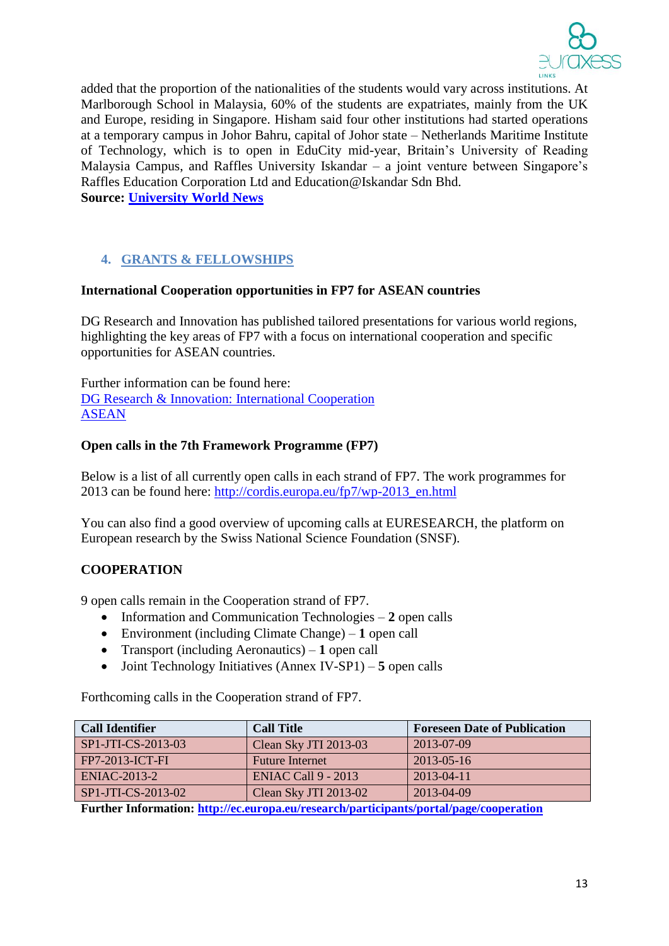

added that the proportion of the nationalities of the students would vary across institutions. At Marlborough School in Malaysia, 60% of the students are expatriates, mainly from the UK and Europe, residing in Singapore. Hisham said four other institutions had started operations at a temporary campus in Johor Bahru, capital of Johor state – Netherlands Maritime Institute of Technology, which is to open in EduCity mid-year, Britain's University of Reading Malaysia Campus, and Raffles University Iskandar – a joint venture between Singapore's Raffles Education Corporation Ltd and Education@Iskandar Sdn Bhd. **Source: [University World News](http://www.universityworldnews.com/article.php?story=2013031508355321)**

# **4. GRANTS & FELLOWSHIPS**

#### **International Cooperation opportunities in FP7 for ASEAN countries**

DG Research and Innovation has published tailored presentations for various world regions, highlighting the key areas of FP7 with a focus on international cooperation and specific opportunities for ASEAN countries.

Further information can be found here: [DG Research & Innovation: International Cooperation](http://ec.europa.eu/research/iscp/index.cfm?lg=en&pg=infoday-2012) [ASEAN](http://ec.europa.eu/research/iscp/pdf/fp7_infoday_2012/asean_wp_2013.pdf#view=fit&pagemode=none)

### **Open calls in the 7th Framework Programme (FP7)**

Below is a list of all currently open calls in each strand of FP7. The work programmes for 2013 can be found here: [http://cordis.europa.eu/fp7/wp-2013\\_en.html](http://cordis.europa.eu/fp7/wp-2013_en.html)

You can also find a good overview of upcoming calls at EURESEARCH, the platform on European research by the Swiss National Science Foundation (SNSF).

# **COOPERATION**

9 open calls remain in the Cooperation strand of FP7.

- Information and Communication Technologies 2 open calls
- Environment (including Climate Change) **1** open call
- Transport (including Aeronautics) **1** open call
- Joint Technology Initiatives (Annex IV-SP1) **5** open calls

Forthcoming calls in the Cooperation strand of FP7.

| <b>Call Identifier</b> | <b>Call Title</b>                                                                                               | <b>Foreseen Date of Publication</b> |
|------------------------|-----------------------------------------------------------------------------------------------------------------|-------------------------------------|
| SP1-JTI-CS-2013-03     | Clean Sky JTI 2013-03                                                                                           | 2013-07-09                          |
| $FPT-2013-ICT-FI$      | <b>Future Internet</b>                                                                                          | 2013-05-16                          |
| $ENIAC-2013-2$         | <b>ENIAC Call 9 - 2013</b>                                                                                      | 2013-04-11                          |
| SP1-JTI-CS-2013-02     | Clean Sky JTI 2013-02                                                                                           | 2013-04-09                          |
| _ _ _ _ _ _ _ _ _ _    | the contract of the contract of the contract of the contract of the contract of the contract of the contract of |                                     |

**Further Information:<http://ec.europa.eu/research/participants/portal/page/cooperation>**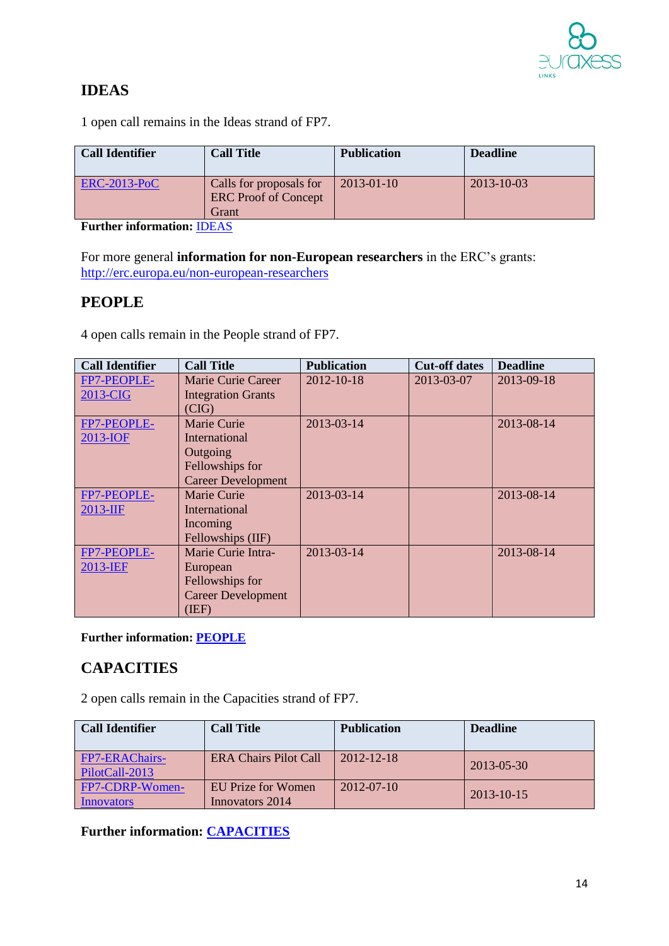

# **IDEAS**

1 open call remains in the Ideas strand of FP7.

| <b>Call Identifier</b> | <b>Call Title</b>                                               | <b>Publication</b> | <b>Deadline</b>  |
|------------------------|-----------------------------------------------------------------|--------------------|------------------|
| $ERC-2013-PoC$         | Calls for proposals for<br><b>ERC</b> Proof of Concept<br>Grant | $2013 - 01 - 10$   | $2013 - 10 - 03$ |

**Further information:** [IDEAS](http://ec.europa.eu/research/participants/portal/appmanager/participants/portal?_nfpb=true&_windowLabel=portletInstance_60&portletInstance_60_actionOverride=%2Fportlets%2Fcall%2Ffp7CallMenu%2Fgo2Ideas&_pageLabel=call_FP7#wlp_portletInstance_60)

For more general **information for non-European researchers** in the ERC's grants: <http://erc.europa.eu/non-european-researchers>

# **PEOPLE**

4 open calls remain in the People strand of FP7.

| <b>Call Identifier</b> | <b>Call Title</b>         | <b>Publication</b> | <b>Cut-off dates</b> | <b>Deadline</b> |
|------------------------|---------------------------|--------------------|----------------------|-----------------|
| FP7-PEOPLE-            | Marie Curie Career        | 2012-10-18         | 2013-03-07           | 2013-09-18      |
| 2013-CIG               | <b>Integration Grants</b> |                    |                      |                 |
|                        | (CIG)                     |                    |                      |                 |
| FP7-PEOPLE-            | Marie Curie               | 2013-03-14         |                      | 2013-08-14      |
| 2013-IOF               | International             |                    |                      |                 |
|                        | Outgoing                  |                    |                      |                 |
|                        | Fellowships for           |                    |                      |                 |
|                        | <b>Career Development</b> |                    |                      |                 |
| FP7-PEOPLE-            | <b>Marie Curie</b>        | 2013-03-14         |                      | 2013-08-14      |
| 2013-IIF               | International             |                    |                      |                 |
|                        | Incoming                  |                    |                      |                 |
|                        | Fellowships (IIF)         |                    |                      |                 |
| FP7-PEOPLE-            | Marie Curie Intra-        | 2013-03-14         |                      | 2013-08-14      |
| 2013-IEF               | European                  |                    |                      |                 |
|                        | Fellowships for           |                    |                      |                 |
|                        | <b>Career Development</b> |                    |                      |                 |
|                        | (IEF)                     |                    |                      |                 |

# **Further information: [PEOPLE](http://ec.europa.eu/research/participants/portal/appmanager/participants/portal?_nfpb=true&_windowLabel=portletInstance_60&portletInstance_60_actionOverride=/portlets/call/fp7CallMenu/go2People&_pageLabel=call_FP7#wlp_portletInstance_60)**

# **CAPACITIES**

2 open calls remain in the Capacities strand of FP7.

| <b>Call Identifier</b>                  | <b>Call Title</b>                     | <b>Publication</b> | <b>Deadline</b>  |
|-----------------------------------------|---------------------------------------|--------------------|------------------|
| <b>FP7-ERAChairs-</b><br>PilotCall-2013 | <b>ERA Chairs Pilot Call</b>          | 2012-12-18         | 2013-05-30       |
| FP7-CDRP-Women-<br>Innovators           | EU Prize for Women<br>Innovators 2014 | $2012 - 07 - 10$   | $2013 - 10 - 15$ |

**Further information: [CAPACITIES](http://ec.europa.eu/research/participants/portal/appmanager/participants/portal?_nfpb=true&_windowLabel=portletInstance_60&portletInstance_60_actionOverride=/portlets/call/fp7CallMenu/go2Capacities&_pageLabel=call_FP7#wlp_portletInstance_60)**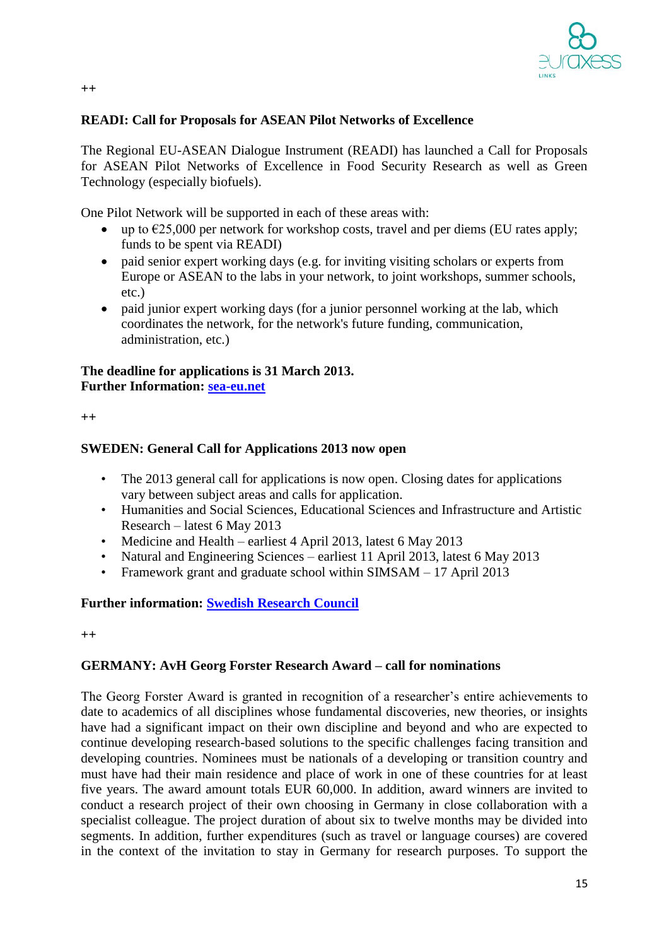

## **READI: Call for Proposals for ASEAN Pilot Networks of Excellence**

The Regional EU-ASEAN Dialogue Instrument (READI) has launched a Call for Proposals for ASEAN Pilot Networks of Excellence in Food Security Research as well as Green Technology (especially biofuels).

One Pilot Network will be supported in each of these areas with:

- up to  $\epsilon$ 25,000 per network for workshop costs, travel and per diems (EU rates apply; funds to be spent via READI)
- paid senior expert working days (e.g. for inviting visiting scholars or experts from Europe or ASEAN to the labs in your network, to joint workshops, summer schools, etc.)
- paid junior expert working days (for a junior personnel working at the lab, which coordinates the network, for the network's future funding, communication, administration, etc.)

### **The deadline for applications is 31 March 2013. Further Information: [sea-eu.net](http://www.sea-eu.net/object/news/3864.html)**

**++**

#### **SWEDEN: General Call for Applications 2013 now open**

- The 2013 general call for applications is now open. Closing dates for applications vary between subject areas and calls for application.
- Humanities and Social Sciences, Educational Sciences and Infrastructure and Artistic Research – latest 6 May 2013
- Medicine and Health earliest 4 April 2013, latest 6 May 2013
- Natural and Engineering Sciences earliest 11 April 2013, latest 6 May 2013
- Framework grant and graduate school within SIMSAM 17 April 2013

## **Further information: [Swedish Research Council](http://www.vr.se/inenglish/researchfunding/ourgrants2013.4.44482f6612355bb5ee780002186.html)**

**++**

#### **GERMANY: AvH Georg Forster Research Award – call for nominations**

The Georg Forster Award is granted in recognition of a researcher's entire achievements to date to academics of all disciplines whose fundamental discoveries, new theories, or insights have had a significant impact on their own discipline and beyond and who are expected to continue developing research-based solutions to the specific challenges facing transition and developing countries. Nominees must be nationals of a developing or transition country and must have had their main residence and place of work in one of these countries for at least five years. The award amount totals EUR 60,000. In addition, award winners are invited to conduct a research project of their own choosing in Germany in close collaboration with a specialist colleague. The project duration of about six to twelve months may be divided into segments. In addition, further expenditures (such as travel or language courses) are covered in the context of the invitation to stay in Germany for research purposes. To support the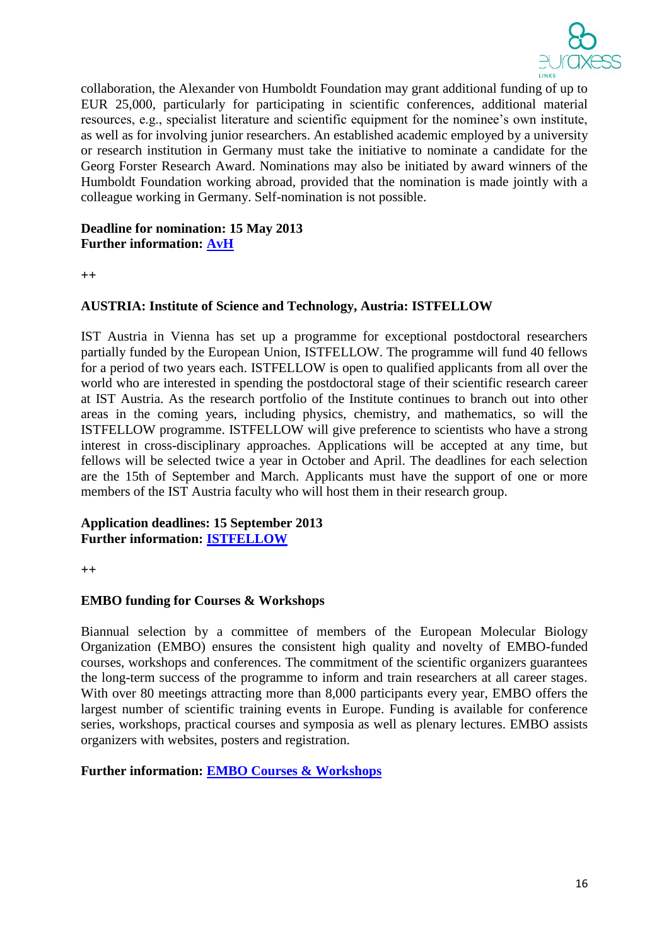

collaboration, the Alexander von Humboldt Foundation may grant additional funding of up to EUR 25,000, particularly for participating in scientific conferences, additional material resources, e.g., specialist literature and scientific equipment for the nominee's own institute, as well as for involving junior researchers. An established academic employed by a university or research institution in Germany must take the initiative to nominate a candidate for the Georg Forster Research Award. Nominations may also be initiated by award winners of the Humboldt Foundation working abroad, provided that the nomination is made jointly with a colleague working in Germany. Self-nomination is not possible.

# **Deadline for nomination: 15 May 2013 Further information: [AvH](http://www.humboldt-foundation.de/web/georg-forster-award.html)**

**++**

# **AUSTRIA: Institute of Science and Technology, Austria: ISTFELLOW**

IST Austria in Vienna has set up a programme for exceptional postdoctoral researchers partially funded by the European Union, ISTFELLOW. The programme will fund 40 fellows for a period of two years each. ISTFELLOW is open to qualified applicants from all over the world who are interested in spending the postdoctoral stage of their scientific research career at IST Austria. As the research portfolio of the Institute continues to branch out into other areas in the coming years, including physics, chemistry, and mathematics, so will the ISTFELLOW programme. ISTFELLOW will give preference to scientists who have a strong interest in cross-disciplinary approaches. Applications will be accepted at any time, but fellows will be selected twice a year in October and April. The deadlines for each selection are the 15th of September and March. Applicants must have the support of one or more members of the IST Austria faculty who will host them in their research group.

#### **Application deadlines: 15 September 2013 Further information: [ISTFELLOW](http://ist.ac.at/istfellow)**

**++**

### **EMBO funding for Courses & Workshops**

Biannual selection by a committee of members of the European Molecular Biology Organization (EMBO) ensures the consistent high quality and novelty of EMBO-funded courses, workshops and conferences. The commitment of the scientific organizers guarantees the long-term success of the programme to inform and train researchers at all career stages. With over 80 meetings attracting more than 8,000 participants every year, EMBO offers the largest number of scientific training events in Europe. Funding is available for conference series, workshops, practical courses and symposia as well as plenary lectures. EMBO assists organizers with websites, posters and registration.

#### **Further information: [EMBO Courses & Workshops](http://www.embo.org/funding-awards/courses-workshops)**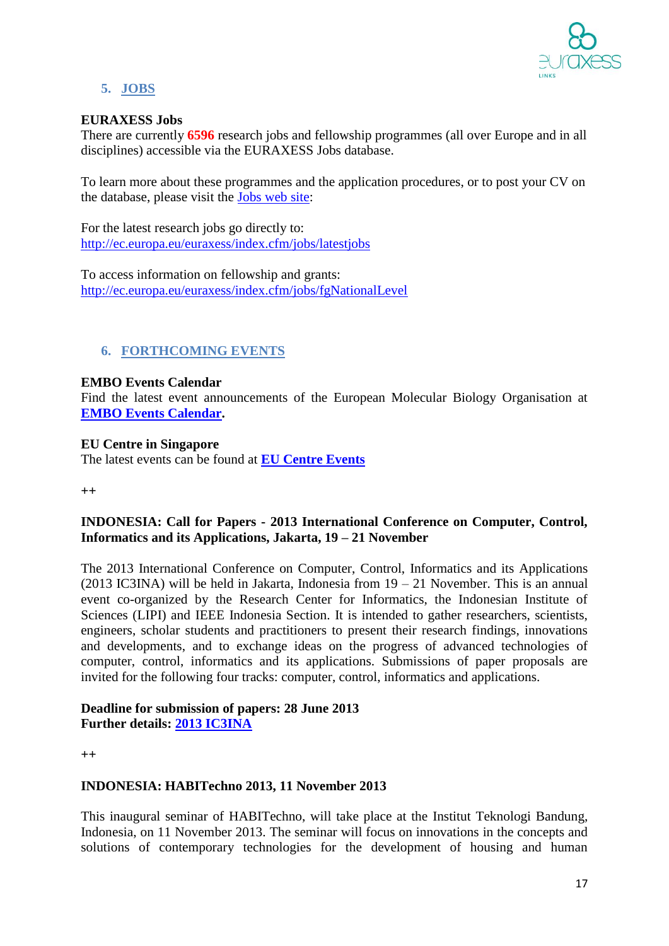

# **5. JOBS**

### **EURAXESS Jobs**

There are currently **6596** research jobs and fellowship programmes (all over Europe and in all disciplines) accessible via the EURAXESS Jobs database.

To learn more about these programmes and the application procedures, or to post your CV on the database, please visit the [Jobs web site:](http://ec.europa.eu/euraxess/jobs)

For the latest research jobs go directly to: <http://ec.europa.eu/euraxess/index.cfm/jobs/latestjobs>

To access information on fellowship and grants: <http://ec.europa.eu/euraxess/index.cfm/jobs/fgNationalLevel>

# **6. FORTHCOMING EVENTS**

### **EMBO Events Calendar**

Find the latest event announcements of the European Molecular Biology Organisation at **[EMBO Events Calendar.](http://www.embo.org/events)**

### **EU Centre in Singapore**

The latest events can be found at **[EU Centre Events](http://www.eucentre.sg/events.php)**

**++**

# **INDONESIA: Call for Papers - 2013 International Conference on Computer, Control, Informatics and its Applications, Jakarta, 19 – 21 November**

The 2013 International Conference on Computer, Control, Informatics and its Applications (2013 IC3INA) will be held in Jakarta, Indonesia from  $19 - 21$  November. This is an annual event co-organized by the Research Center for Informatics, the Indonesian Institute of Sciences (LIPI) and IEEE Indonesia Section. It is intended to gather researchers, scientists, engineers, scholar students and practitioners to present their research findings, innovations and developments, and to exchange ideas on the progress of advanced technologies of computer, control, informatics and its applications. Submissions of paper proposals are invited for the following four tracks: computer, control, informatics and applications.

### **Deadline for submission of papers: 28 June 2013 Further details: [2013 IC3INA](http://www.lipi.go.id/)**

**++**

# **INDONESIA: HABITechno 2013, 11 November 2013**

This inaugural seminar of HABITechno, will take place at the Institut Teknologi Bandung, Indonesia, on 11 November 2013. The seminar will focus on innovations in the concepts and solutions of contemporary technologies for the development of housing and human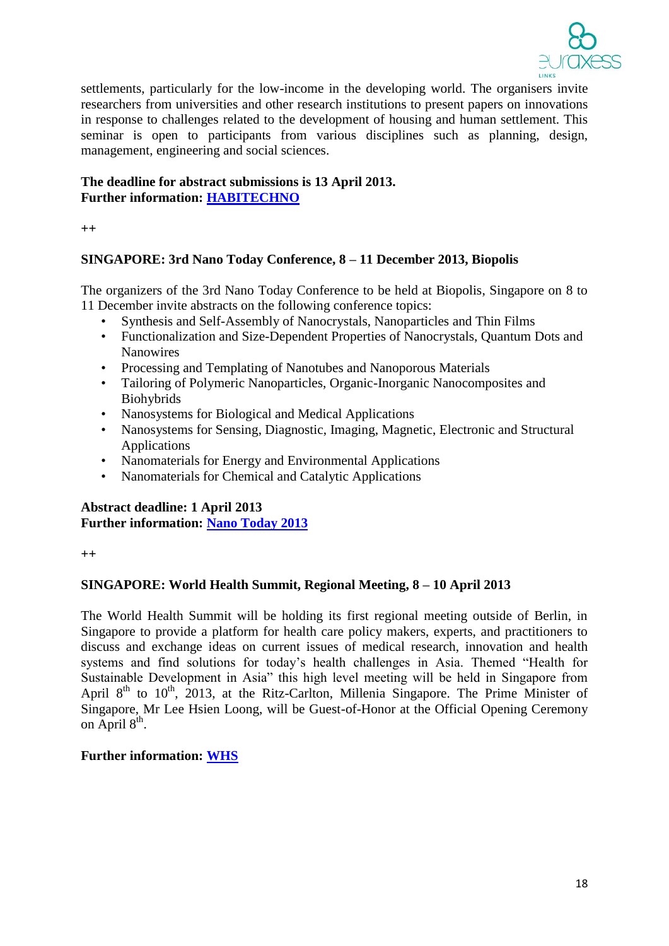

settlements, particularly for the low-income in the developing world. The organisers invite researchers from universities and other research institutions to present papers on innovations in response to challenges related to the development of housing and human settlement. This seminar is open to participants from various disciplines such as planning, design, management, engineering and social sciences.

## **The deadline for abstract submissions is 13 April 2013. Further information: [HABITECHNO](http://habitechno.info/)**

**++**

# **SINGAPORE: 3rd Nano Today Conference, 8 – 11 December 2013, Biopolis**

The organizers of the 3rd Nano Today Conference to be held at Biopolis, Singapore on 8 to 11 December invite abstracts on the following conference topics:

- Synthesis and Self-Assembly of Nanocrystals, Nanoparticles and Thin Films
- Functionalization and Size-Dependent Properties of Nanocrystals, Quantum Dots and Nanowires
- Processing and Templating of Nanotubes and Nanoporous Materials
- Tailoring of Polymeric Nanoparticles, Organic-Inorganic Nanocomposites and Biohybrids
- Nanosystems for Biological and Medical Applications
- Nanosystems for Sensing, Diagnostic, Imaging, Magnetic, Electronic and Structural Applications
- Nanomaterials for Energy and Environmental Applications
- Nanomaterials for Chemical and Catalytic Applications

# **Abstract deadline: 1 April 2013 Further information: [Nano Today 2013](http://www.nanotoday2013.com/)**

**++**

# **SINGAPORE: World Health Summit, Regional Meeting, 8 – 10 April 2013**

The World Health Summit will be holding its first regional meeting outside of Berlin, in Singapore to provide a platform for health care policy makers, experts, and practitioners to discuss and exchange ideas on current issues of medical research, innovation and health systems and find solutions for today's health challenges in Asia. Themed "Health for Sustainable Development in Asia" this high level meeting will be held in Singapore from April  $8<sup>th</sup>$  to 10<sup>th</sup>, 2013, at the Ritz-Carlton, Millenia Singapore. The Prime Minister of Singapore, Mr Lee Hsien Loong, will be Guest-of-Honor at the Official Opening Ceremony on April  $8<sup>th</sup>$ .

# **Further information: [WHS](http://www.worldhealthsummit.org/whsrma2013/)**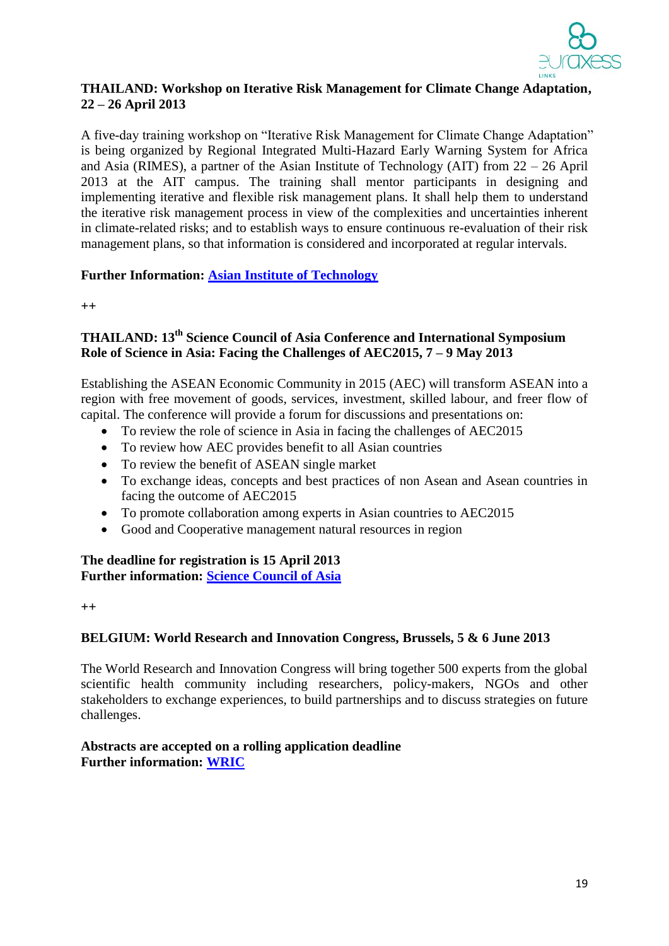

### **THAILAND: Workshop on Iterative Risk Management for Climate Change Adaptation, 22 – 26 April 2013**

A five-day training workshop on "Iterative Risk Management for Climate Change Adaptation" is being organized by Regional Integrated Multi-Hazard Early Warning System for Africa and Asia (RIMES), a partner of the Asian Institute of Technology (AIT) from 22 – 26 April 2013 at the AIT campus. The training shall mentor participants in designing and implementing iterative and flexible risk management plans. It shall help them to understand the iterative risk management process in view of the complexities and uncertainties inherent in climate-related risks; and to establish ways to ensure continuous re-evaluation of their risk management plans, so that information is considered and incorporated at regular intervals.

# **Further Information: [Asian Institute of Technology](http://www.ait.ac.th/news-and-events/2013/events/workshop-on-iterative-risk-management-for-climate-change-adaptation/)**

**++**

# **THAILAND: 13th Science Council of Asia Conference and International Symposium Role of Science in Asia: Facing the Challenges of AEC2015, 7 – 9 May 2013**

Establishing the ASEAN Economic Community in 2015 (AEC) will transform ASEAN into a region with free movement of goods, services, investment, skilled labour, and freer flow of capital. The conference will provide a forum for discussions and presentations on:

- To review the role of science in Asia in facing the challenges of AEC2015
- To review how AEC provides benefit to all Asian countries
- To review the benefit of ASEAN single market
- To exchange ideas, concepts and best practices of non Asean and Asean countries in facing the outcome of AEC2015
- To promote collaboration among experts in Asian countries to AEC2015
- Good and Cooperative management natural resources in region

# **The deadline for registration is 15 April 2013 Further information: [Science Council of Asia](http://www.scj.go.jp/en/sca/pdf/call_for_Papers.pdf)**

**++**

# **BELGIUM: World Research and Innovation Congress, Brussels, 5 & 6 June 2013**

The World Research and Innovation Congress will bring together 500 experts from the global scientific health community including researchers, policy-makers, NGOs and other stakeholders to exchange experiences, to build partnerships and to discuss strategies on future challenges.

# **Abstracts are accepted on a rolling application deadline Further information: [WRIC](http://www.worldresearchcongress.com/register.php)**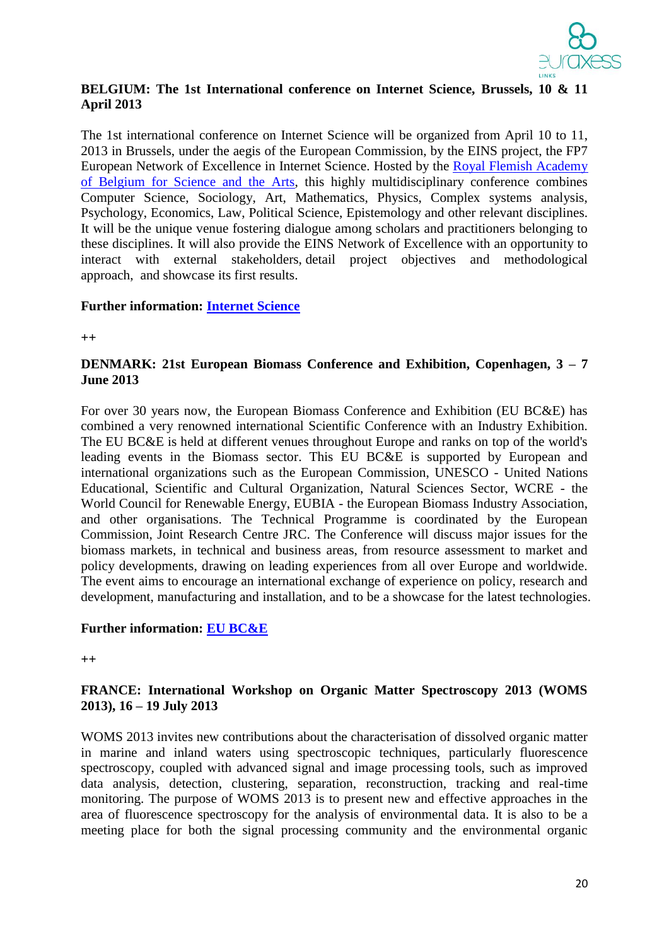

## **BELGIUM: The 1st International conference on Internet Science, Brussels, 10 & 11 April 2013**

The 1st international conference on Internet Science will be organized from April 10 to 11, 2013 in Brussels, under the aegis of the European Commission, by the EINS project, the FP7 European Network of Excellence in Internet Science. Hosted by the [Royal Flemish Academy](http://www.kvab.be/?lang=en)  [of Belgium for Science and the Arts,](http://www.kvab.be/?lang=en) this highly multidisciplinary conference combines Computer Science, Sociology, Art, Mathematics, Physics, Complex systems analysis, Psychology, Economics, Law, Political Science, Epistemology and other relevant disciplines. It will be the unique venue fostering dialogue among scholars and practitioners belonging to these disciplines. It will also provide the EINS Network of Excellence with an opportunity to interact with external stakeholders, detail project objectives and methodological approach, and showcase its first results.

#### **Further information: [Internet Science](http://internetscienceconference.eu/)**

**++**

## **DENMARK: 21st European Biomass Conference and Exhibition, Copenhagen, 3 – 7 June 2013**

For over 30 years now, the European Biomass Conference and Exhibition (EU BC&E) has combined a very renowned international Scientific Conference with an Industry Exhibition. The EU BC&E is held at different venues throughout Europe and ranks on top of the world's leading events in the Biomass sector. This EU BC&E is supported by European and international organizations such as the European Commission, UNESCO - United Nations Educational, Scientific and Cultural Organization, Natural Sciences Sector, WCRE - the World Council for Renewable Energy, EUBIA - the European Biomass Industry Association, and other organisations. The Technical Programme is coordinated by the European Commission, Joint Research Centre JRC. The Conference will discuss major issues for the biomass markets, in technical and business areas, from resource assessment to market and policy developments, drawing on leading experiences from all over Europe and worldwide. The event aims to encourage an international exchange of experience on policy, research and development, manufacturing and installation, and to be a showcase for the latest technologies.

# **Further information: [EU BC&E](http://www.conference-biomass.com/)**

**++**

### **FRANCE: International Workshop on Organic Matter Spectroscopy 2013 (WOMS 2013), 16 – 19 July 2013**

WOMS 2013 invites new contributions about the characterisation of dissolved organic matter in marine and inland waters using spectroscopic techniques, particularly fluorescence spectroscopy, coupled with advanced signal and image processing tools, such as improved data analysis, detection, clustering, separation, reconstruction, tracking and real-time monitoring. The purpose of WOMS 2013 is to present new and effective approaches in the area of fluorescence spectroscopy for the analysis of environmental data. It is also to be a meeting place for both the signal processing community and the environmental organic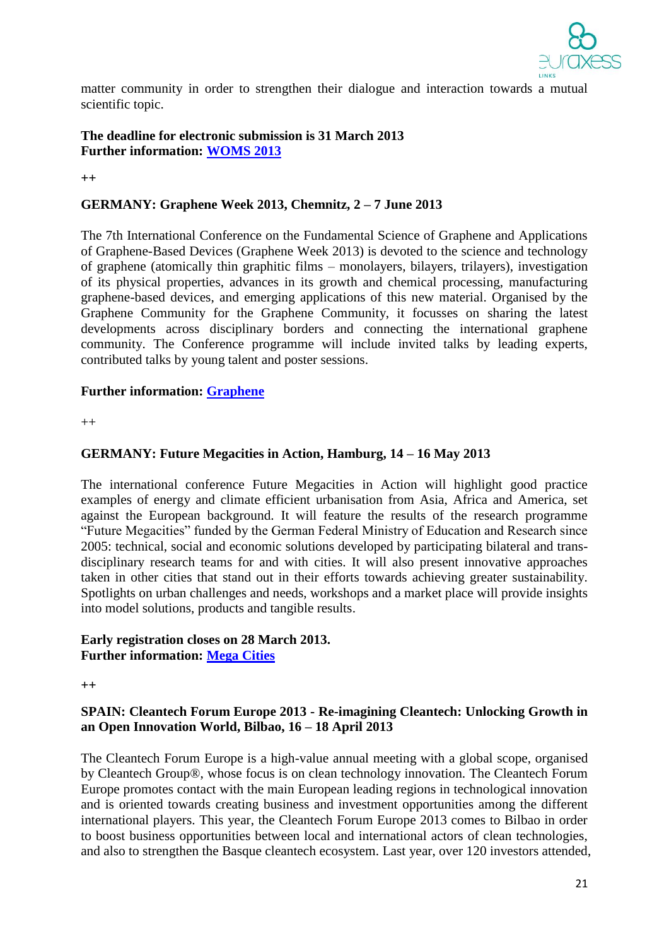

matter community in order to strengthen their dialogue and interaction towards a mutual scientific topic.

# **The deadline for electronic submission is 31 March 2013 Further information: [WOMS 2013](http://woms13.univ-tln.fr/)**

**++**

## **GERMANY: Graphene Week 2013, Chemnitz, 2 – 7 June 2013**

The 7th International Conference on the Fundamental Science of Graphene and Applications of Graphene-Based Devices (Graphene Week 2013) is devoted to the science and technology of graphene (atomically thin graphitic films – monolayers, bilayers, trilayers), investigation of its physical properties, advances in its growth and chemical processing, manufacturing graphene-based devices, and emerging applications of this new material. Organised by the Graphene Community for the Graphene Community, it focusses on sharing the latest developments across disciplinary borders and connecting the international graphene community. The Conference programme will include invited talks by leading experts, contributed talks by young talent and poster sessions.

#### **Further information: [Graphene](http://www.graphene-week.eu/)**

 $^{++}$ 

#### **GERMANY: Future Megacities in Action, Hamburg, 14 – 16 May 2013**

The international conference Future Megacities in Action will highlight good practice examples of energy and climate efficient urbanisation from Asia, Africa and America, set against the European background. It will feature the results of the research programme "Future Megacities" funded by the German Federal Ministry of Education and Research since 2005: technical, social and economic solutions developed by participating bilateral and transdisciplinary research teams for and with cities. It will also present innovative approaches taken in other cities that stand out in their efforts towards achieving greater sustainability. Spotlights on urban challenges and needs, workshops and a market place will provide insights into model solutions, products and tangible results.

#### **Early registration closes on 28 March 2013. Further information: [Mega Cities](http://www.future-megacities-2013.org/home.html)**

**++**

#### **SPAIN: Cleantech Forum Europe 2013 - Re-imagining Cleantech: Unlocking Growth in an Open Innovation World, Bilbao, 16 – 18 April 2013**

The Cleantech Forum Europe is a high-value annual meeting with a global scope, organised by Cleantech Group®, whose focus is on clean technology innovation. The Cleantech Forum Europe promotes contact with the main European leading regions in technological innovation and is oriented towards creating business and investment opportunities among the different international players. This year, the Cleantech Forum Europe 2013 comes to Bilbao in order to boost business opportunities between local and international actors of clean technologies, and also to strengthen the Basque cleantech ecosystem. Last year, over 120 investors attended,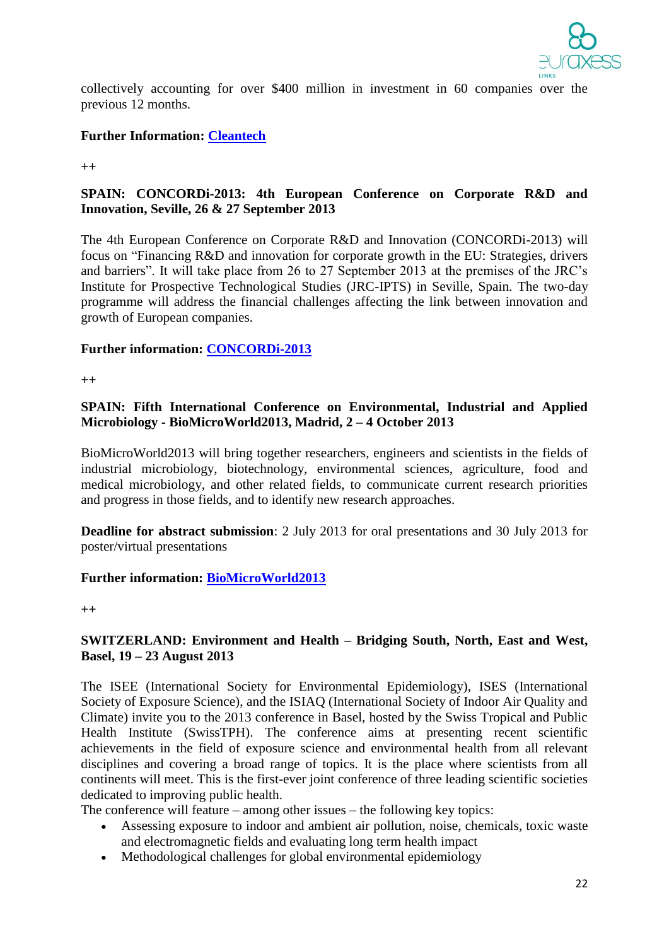

collectively accounting for over \$400 million in investment in 60 companies over the previous 12 months.

## **Further Information: [Cleantech](http://events.cleantech.com/europe/)**

**++** 

# **SPAIN: CONCORDi-2013: 4th European Conference on Corporate R&D and Innovation, Seville, 26 & 27 September 2013**

The 4th European Conference on Corporate R&D and Innovation (CONCORDi-2013) will focus on "Financing R&D and innovation for corporate growth in the EU: Strategies, drivers and barriers". It will take place from 26 to 27 September 2013 at the premises of the JRC's Institute for Prospective Technological Studies (JRC-IPTS) in Seville, Spain. The two-day programme will address the financial challenges affecting the link between innovation and growth of European companies.

### **Further information: [CONCORDi-2013](http://iri.jrc.ec.europa.eu/concord/2013/index.html)**

**++**

# **SPAIN: Fifth International Conference on Environmental, Industrial and Applied Microbiology - BioMicroWorld2013, Madrid, 2 – 4 October 2013**

BioMicroWorld2013 will bring together researchers, engineers and scientists in the fields of industrial microbiology, biotechnology, environmental sciences, agriculture, food and medical microbiology, and other related fields, to communicate current research priorities and progress in those fields, and to identify new research approaches.

**Deadline for abstract submission**: 2 July 2013 for oral presentations and 30 July 2013 for poster/virtual presentations

#### **Further information: [BioMicroWorld2013](http://www.biomicroworld2013.org/)**

**++**

#### **SWITZERLAND: Environment and Health – Bridging South, North, East and West, Basel, 19 – 23 August 2013**

The ISEE (International Society for Environmental Epidemiology), ISES (International Society of Exposure Science), and the ISIAQ (International Society of Indoor Air Quality and Climate) invite you to the 2013 conference in Basel, hosted by the Swiss Tropical and Public Health Institute (SwissTPH). The conference aims at presenting recent scientific achievements in the field of exposure science and environmental health from all relevant disciplines and covering a broad range of topics. It is the place where scientists from all continents will meet. This is the first-ever joint conference of three leading scientific societies dedicated to improving public health.

The conference will feature – among other issues – the following key topics:

- Assessing exposure to indoor and ambient air pollution, noise, chemicals, toxic waste and electromagnetic fields and evaluating long term health impact
- Methodological challenges for global environmental epidemiology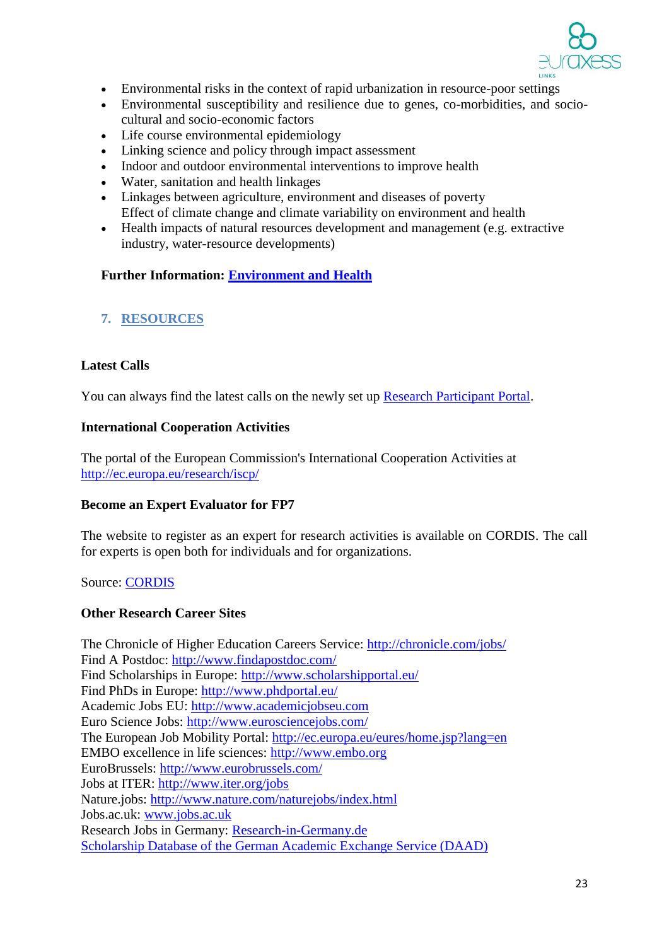

- Environmental risks in the context of rapid urbanization in resource-poor settings
- Environmental susceptibility and resilience due to genes, co-morbidities, and sociocultural and socio-economic factors
- Life course environmental epidemiology
- Linking science and policy through impact assessment
- Indoor and outdoor environmental interventions to improve health
- Water, sanitation and health linkages
- Linkages between agriculture, environment and diseases of poverty Effect of climate change and climate variability on environment and health
- Health impacts of natural resources development and management (e.g. extractive industry, water-resource developments)

### **Further Information: [Environment and Health](http://www.ehbasel13.org/index.php)**

# **7. RESOURCES**

# **Latest Calls**

You can always find the latest calls on the newly set up [Research Participant Portal.](http://ec.europa.eu/research/participants/portal/page/fp7_calls)

#### **International Cooperation Activities**

The portal of the European Commission's International Cooperation Activities at <http://ec.europa.eu/research/iscp/>

#### **Become an Expert Evaluator for FP7**

The website to register as an expert for research activities is available on CORDIS. The call for experts is open both for individuals and for organizations.

Source: [CORDIS](http://ec.europa.eu/research/participants/portal/page/experts;efp7_SESSION_ID=4XL2RkST2FLgVM1RTQDnG7X7ln2B2vLkVLtTMTZ30WsLhjyQ1JLL!1910695525)

#### **Other Research Career Sites**

The Chronicle of Higher Education Careers Service: <http://chronicle.com/jobs/> Find A Postdoc: <http://www.findapostdoc.com/> Find Scholarships in Europe:<http://www.scholarshipportal.eu/> Find PhDs in Europe: <http://www.phdportal.eu/> Academic Jobs EU: [http://www.academicjobseu.com](http://www.academicjobseu.com/) Euro Science Jobs: <http://www.eurosciencejobs.com/> The European Job Mobility Portal:<http://ec.europa.eu/eures/home.jsp?lang=en> EMBO excellence in life sciences: [http://www.embo.org](http://www.embo.org/) EuroBrussels:<http://www.eurobrussels.com/> Jobs at ITER:<http://www.iter.org/jobs> Nature.jobs: <http://www.nature.com/naturejobs/index.html> Jobs.ac.uk: [www.jobs.ac.uk](http://www.jobs.ac.uk/) Research Jobs in Germany: [Research-in-Germany.de](http://www.research-in-germany.de/main/29402/research-career-in-germany.html) [Scholarship Database of the German Academic Exchange Service \(DAAD\)](http://www.daad.de/deutschland/stipendium/en/)